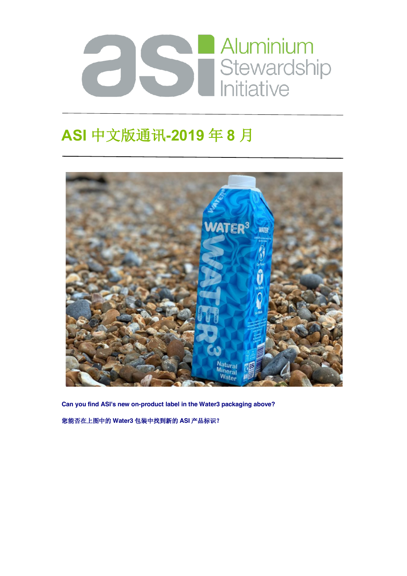

## **ASI** 中文版通讯**-2019** 年 **8** 月



**Can you find ASI's new on-product label in the Water3 packaging above?**

您能否在上图中的 **Water3** 包装中找到新的 **ASI** 产品标识?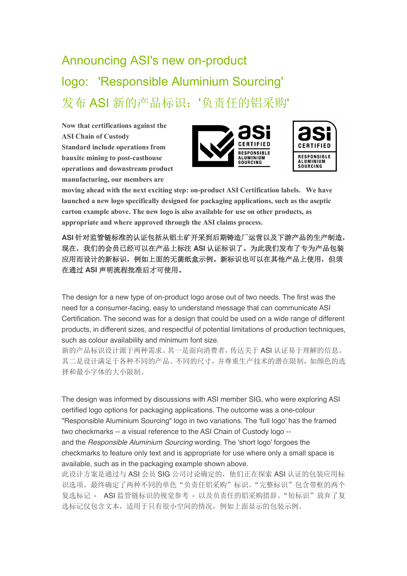# Announcing ASI's new on-product logo: 'Responsible Aluminium Sourcing' 发布 ASI 新的产品标识:'负责任的铝采购'

**Now that certifications against the ASI Chain of Custody Standard include operations from bauxite mining to post-casthouse operations and downstream product manufacturing, our members are** 





**moving ahead with the next exciting step: on-product ASI Certification labels. We have launched a new logo specifically designed for packaging applications, such as the aseptic carton example above. The new logo is also available for use on other products, as appropriate and where approved through the ASI claims process.**

**ASI** 针对监管链标准的认证包括从铝土矿开采到后期铸造厂运营以及下游产品的生产制造, 现在,我们的会员已经可以在产品上标注 **ASI** 认证标识了。为此我们发布了专为产品包装 应用而设计的新标识,例如上面的无菌纸盒示例。新标识也可以在其他产品上使用,但须 在通过 **ASI** 声明流程批准后才可使用。

The design for a new type of on-product logo arose out of two needs. The first was the need for a consumer-facing, easy to understand message that can communicate ASI Certification. The second was for a design that could be used on a wide range of different products, in different sizes, and respectful of potential limitations of production techniques, such as colour availability and minimum font size.

新的产品标识设计源于两种需求。其一是面向消费者,传达关于 ASI 认证易于理解的信息。 其二是设计满足于各种不同的产品、不同的尺寸,并尊重生产技术的潜在限制,如颜色的选 择和最小字体的大小限制。

The design was informed by discussions with ASI member SIG, who were exploring ASI certified logo options for packaging applications. The outcome was a one-colour "Responsible Aluminium Sourcing" logo in two variations. The 'full logo' has the framed two checkmarks -- a visual reference to the ASI Chain of Custody logo - and the *Responsible Aluminium Sourcing* wording. The 'short logo' forgoes the checkmarks to feature only text and is appropriate for use where only a small space is available, such as in the packaging example shown above.

此设计方案是通过与 ASI 会员 SIG 公司讨论确定的, 他们正在探索 ASI 认证的包装应用标 识选项。最终确定了两种不同的单色"负责任铝采购"标识。"完整标识"包含带框的两个 复选标记 - ASI监管链标识的视觉参考 - 以及负责任的铝采购措辞。"短标识"放弃了复 选标记仅包含文本,适用于只有很小空间的情况,例如上面显示的包装示例。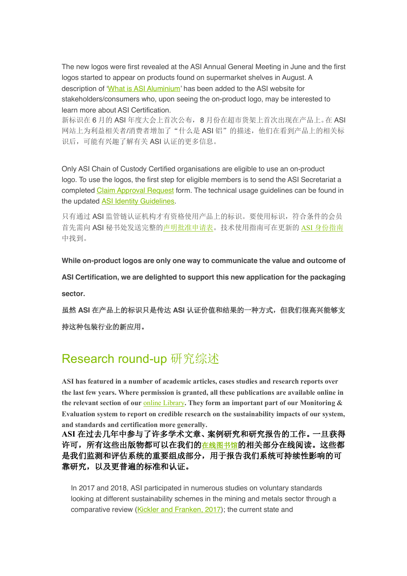The new logos were first revealed at the ASI Annual General Meeting in June and the first logos started to appear on products found on supermarket shelves in August. A description of 'What is ASI Aluminium' has been added to the ASI website for stakeholders/consumers who, upon seeing the on-product logo, may be interested to learn more about ASI Certification.

新标识在 6 月的 ASI 年度大会上首次公布, 8 月份在超市货架上首次出现在产品上。在 ASI 网站上为利益相关者/消费者增加了"什么是 ASI 铝"的描述,他们在看到产品上的相关标 识后,可能有兴趣了解有关 ASI 认证的更多信息。

Only ASI Chain of Custody Certified organisations are eligible to use an on-product logo. To use the logos, the first step for eligible members is to send the ASI Secretariat a completed Claim Approval Request form. The technical usage guidelines can be found in the updated ASI Identity Guidelines.

只有通过 ASI 监管链认证机构才有资格使用产品上的标识。要使用标识,符合条件的会员 首先需向 ASI 秘书处发送完整的声明批准申请表。技术使用指南可在更新的 ASI 身份指南 中找到。

**While on-product logos are only one way to communicate the value and outcome of** 

**ASI Certification, we are delighted to support this new application for the packaging sector.**

虽然 **ASI** 在产品上的标识只是传达 **ASI** 认证价值和结果的一种方式,但我们很高兴能够支 持这种包装行业的新应用。

### Research round-up 研究综述

**ASI has featured in a number of academic articles, cases studies and research reports over the last few years. Where permission is granted, all these publications are available online in the relevant section of our** online Library**. They form an important part of our Monitoring & Evaluation system to report on credible research on the sustainability impacts of our system, and standards and certification more generally.**

**ASI** 在过去几年中参与了许多学术文章、案例研究和研究报告的工作。一旦获得 许可,所有这些出版物都可以在我们的在线图书馆的相关部分在线阅读。这些都 是我们监测和评估系统的重要组成部分,用于报告我们系统可持续性影响的可 靠研究,以及更普遍的标准和认证。

In 2017 and 2018, ASI participated in numerous studies on voluntary standards looking at different sustainability schemes in the mining and metals sector through a comparative review (Kickler and Franken, 2017); the current state and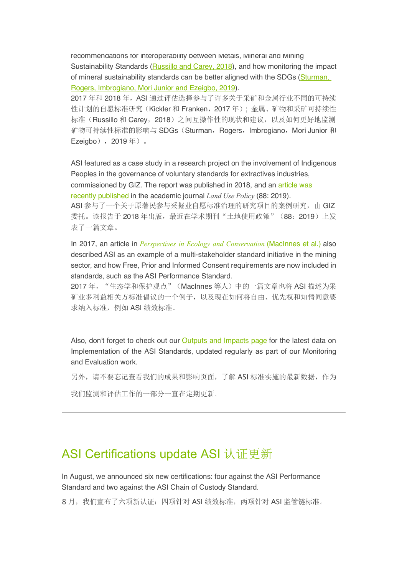recommendations for interoperability between Metals, Mineral and Mining Sustainability Standards (Russillo and Carey, 2018), and how monitoring the impact of mineral sustainability standards can be better aligned with the SDGs (Sturman, Rogers, Imbrogiano, Mori Junior and Ezeigbo, 2019).

2017 年和 2018 年,ASI 通过评估选择参与了许多关于采矿和金属行业不同的可持续 性计划的自愿标准研究(Kickler 和 Franken,2017 年); 金属、矿物和采矿可持续性 标准(Russillo 和 Carey, 2018)之间互操作性的现状和建议,以及如何更好地监测 矿物可持续性标准的影响与 SDGs (Sturman, Rogers, Imbrogiano, Mori Junior 和 Ezeigbo),2019 年)。

ASI featured as a case study in a research project on the involvement of Indigenous Peoples in the governance of voluntary standards for extractives industries,

commissioned by GIZ. The report was published in 2018, and an article was

recently published in the academic journal *Land Use Policy* (88: 2019).

ASI 参与了一个关于原著民参与采掘业自愿标准治理的研究项目的案例研究,由 GIZ 委托。该报告于 2018年出版,最近在学术期刊"土地使用政策"(88: 2019)上发 表了一篇文章。

In 2017, an article in *Perspectives in Ecology and Conservation* (MacInnes et al.) also described ASI as an example of a multi-stakeholder standard initiative in the mining sector, and how Free, Prior and Informed Consent requirements are now included in standards, such as the ASI Performance Standard.

2017 年, "生态学和保护观点"(MacInnes 等人) 中的一篇文章也将 ASI 描述为采 矿业多利益相关方标准倡议的一个例子,以及现在如何将自由、优先权和知情同意要 求纳入标准,例如 ASI 绩效标准。

Also, don't forget to check out our Outputs and Impacts page for the latest data on Implementation of the ASI Standards, updated regularly as part of our Monitoring and Evaluation work.

另外,请不要忘记查看我们的成果和影响页面,了解 ASI 标准实施的最新数据,作为

我们监测和评估工作的一部分一直在定期更新。

#### ASI Certifications update ASI 认证更新

In August, we announced six new certifications: four against the ASI Performance Standard and two against the ASI Chain of Custody Standard.

8月,我们宣布了六项新认证: 四项针对 ASI 绩效标准,两项针对 ASI 监管链标准。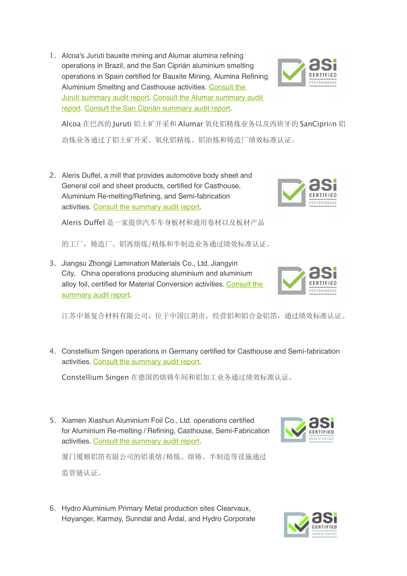1. Alcoa's Juruti bauxite mining and Alumar alumina refining operations in Brazil, and the San Ciprián aluminium smelting operations in Spain certified for Bauxite Mining, Alumina Refining, Aluminium Smelting and Casthouse activities. Consult the Juruti summary audit report. Consult the Alumar summary audit report. Consult the San Ciprián summary audit report.



2. Aleris Duffel, a mill that provides automotive body sheet and General coil and sheet products, certified for Casthouse, Aluminium Re-melting/Refining, and Semi-fabrication activities. Consult the summary audit report.



的工厂,铸造厂、铝再熔炼/精炼和半制造业务通过绩效标准认证。

3. Jiangsu Zhongji Lamination Materials Co., Ltd. Jiangyin City, China operations producing aluminium and aluminium alloy foil, certified for Material Conversion activities. Consult the summary audit report.



4. Constellium Singen operations in Germany certified for Casthouse and Semi-fabrication activities. Consult the summary audit report.

Constellium Singen 在德国的熔铸车间和铝加工业务通过绩效标准认证。

5. Xiamen Xiashun Aluminium Foil Co., Ltd. operations certified for Aluminium Re-melting / Refining, Casthouse, Semi-Fabrication activities. Consult the summary audit report.



厦门厦顺铝箔有限公司的铝重熔/精炼、熔铸、半制造等设施通过 监管链认证。

6. Hydro Aluminium Primary Metal production sites Clearvaux, Høyanger, Karmøy, Sunndal and Årdal, and Hydro Corporate







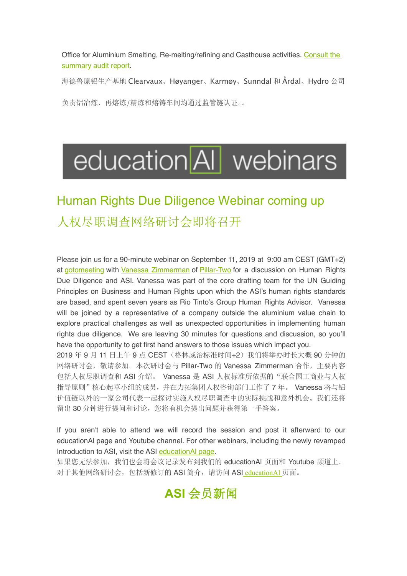Office for Aluminium Smelting, Re-melting/refining and Casthouse activities. Consult the summary audit report.

海德鲁原铝生产基地 Clearvaux、Høyanger、Karmøy、Sunndal 和 Årdal、Hydro 公司

负责铝冶炼、再熔炼/精炼和熔铸车间均通过监管链认证。。

# education AI webinars

## Human Rights Due Diligence Webinar coming up 人权尽职调查网络研讨会即将召开

Please join us for a 90-minute webinar on September 11, 2019 at 9:00 am CEST (GMT+2) at gotomeeting with Vanessa Zimmerman of Pillar-Two for a discussion on Human Rights Due Diligence and ASI. Vanessa was part of the core drafting team for the UN Guiding Principles on Business and Human Rights upon which the ASI's human rights standards are based, and spent seven years as Rio Tinto's Group Human Rights Advisor. Vanessa will be joined by a representative of a company outside the aluminium value chain to explore practical challenges as well as unexpected opportunities in implementing human rights due diligence. We are leaving 30 minutes for questions and discussion, so you'll have the opportunity to get first hand answers to those issues which impact you.

2019 年 9 月 11 日上午 9 点 CEST (格林威治标准时间+2) 我们将举办时长大概 90 分钟的 网络研讨会, 敬请参加。本次研讨会与 Pillar-Two 的 Vanessa Zimmerman 合作, 主要内容 包括人权尽职调查和 ASI 介绍。 Vanessa 是 ASI 人权标准所依据的"联合国工商业与人权 指导原则"核心起草小组的成员,并在力拓集团人权咨询部门工作了 7 年。 Vanessa 将与铝 价值链以外的一家公司代表一起探讨实施人权尽职调查中的实际挑战和意外机会。我们还将 留出30分钟进行提问和讨论,您将有机会提出问题并获得第一手答案。

If you aren't able to attend we will record the session and post it afterward to our educationAl page and Youtube channel. For other webinars, including the newly revamped Introduction to ASI, visit the ASI educationAI page.

如果您无法参加,我们也会将会议记录发布到我们的 educationAl 页面和 Youtube 频道上。 对于其他网络研讨会,包括新修订的 ASI 简介,请访问 ASI educationAl 页面。

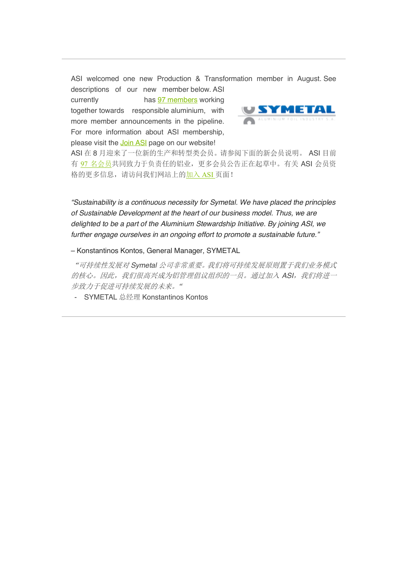ASI welcomed one new Production & Transformation member in August. See descriptions of our new member below. ASI

currently has 97 members working together towards responsible aluminium, with more member announcements in the pipeline. For more information about ASI membership, please visit the **Join ASI** page on our website!



ASI 在 8 月迎来了一位新的生产和转型类会员。请参阅下面的新会员说明。 ASI 目前 有 97 名会员共同致力于负责任的铝业,更多会员公告正在起草中。有关 ASI 会员资 格的更多信息,请访问我们网站上的加入 ASI 页面!

*"Sustainability is a continuous necessity for Symetal. We have placed the principles of Sustainable Development at the heart of our business model. Thus, we are delighted to be a part of the Aluminium Stewardship Initiative. By joining ASI, we further engage ourselves in an ongoing effort to promote a sustainable future."*

– Konstantinos Kontos, General Manager, SYMETAL

"可持续性发展对 *Symetal* 公司非常重要。我们将可持续发展原则置于我们业务模式 的核心。因此,我们很高兴成为铝管理倡议组织的一员。通过加入 *ASI*,我们将进一 步致力于促进可持续发展的未来。"

- SYMETAL 总经理 Konstantinos Kontos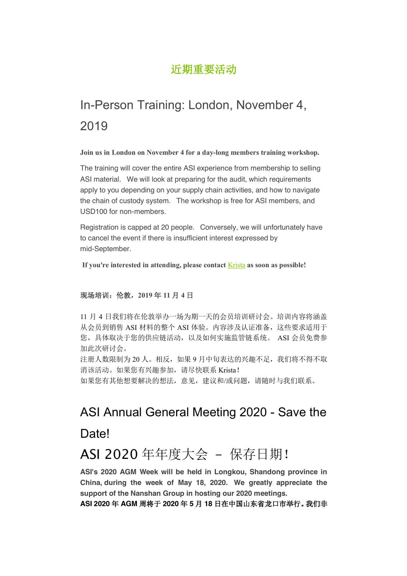#### 近期重要活动

## In-Person Training: London, November 4, 2019

**Join us in London on November 4 for a day-long members training workshop.**

The training will cover the entire ASI experience from membership to selling ASI material. We will look at preparing for the audit, which requirements apply to you depending on your supply chain activities, and how to navigate the chain of custody system. The workshop is free for ASI members, and USD100 for non-members.

Registration is capped at 20 people. Conversely, we will unfortunately have to cancel the event if there is insufficient interest expressed by mid-September.

**If you're interested in attending, please contact** Krista **as soon as possible!**

#### 现场培训:伦敦,**2019** 年 **11** 月 **4** 日

11 月 4 日我们将在伦敦举办一场为期一天的会员培训研讨会。培训内容将涵盖 从会员到销售 ASI 材料的整个 ASI 体验。内容涉及认证准备,这些要求适用于 您,具体取决于您的供应链活动,以及如何实施监管链系统。 ASI 会员免费参 加此次研讨会。

注册人数限制为 20 人。相反,如果 9 月中旬表达的兴趣不足,我们将不得不取 消该活动。如果您有兴趣参加,请尽快联系 Krista!

如果您有其他想要解决的想法,意见,建议和/或问题,请随时与我们联系。

## ASI Annual General Meeting 2020 - Save the Date!

## ASI 2020 年年度大会 - 保存日期!

**ASI's 2020 AGM Week will be held in Longkou, Shandong province in China, during the week of May 18, 2020. We greatly appreciate the support of the Nanshan Group in hosting our 2020 meetings.**

**ASI 2020** 年 **AGM** 周将于 **2020** 年 **5** 月 **18** 日在中国山东省龙口市举行。我们非